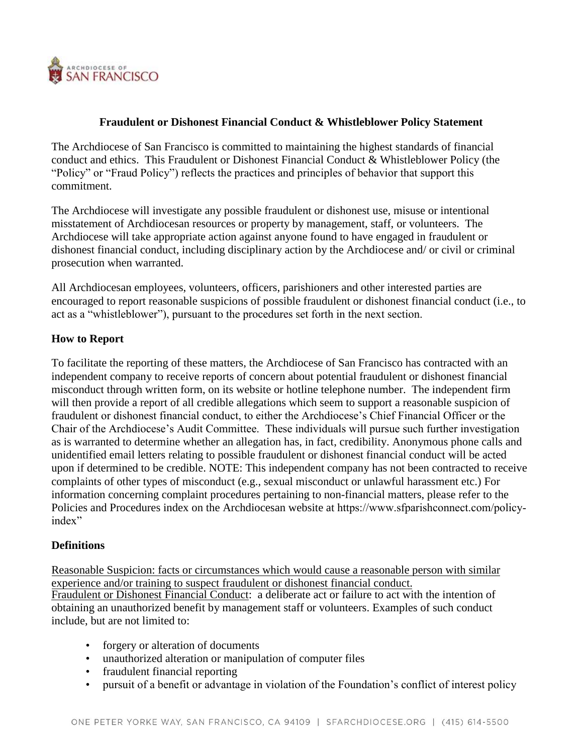

# **Fraudulent or Dishonest Financial Conduct & Whistleblower Policy Statement**

The Archdiocese of San Francisco is committed to maintaining the highest standards of financial conduct and ethics. This Fraudulent or Dishonest Financial Conduct & Whistleblower Policy (the "Policy" or "Fraud Policy") reflects the practices and principles of behavior that support this commitment.

The Archdiocese will investigate any possible fraudulent or dishonest use, misuse or intentional misstatement of Archdiocesan resources or property by management, staff, or volunteers. The Archdiocese will take appropriate action against anyone found to have engaged in fraudulent or dishonest financial conduct, including disciplinary action by the Archdiocese and/ or civil or criminal prosecution when warranted.

All Archdiocesan employees, volunteers, officers, parishioners and other interested parties are encouraged to report reasonable suspicions of possible fraudulent or dishonest financial conduct (i.e., to act as a "whistleblower"), pursuant to the procedures set forth in the next section.

# **How to Report**

To facilitate the reporting of these matters, the Archdiocese of San Francisco has contracted with an independent company to receive reports of concern about potential fraudulent or dishonest financial misconduct through written form, on its website or hotline telephone number. The independent firm will then provide a report of all credible allegations which seem to support a reasonable suspicion of fraudulent or dishonest financial conduct, to either the Archdiocese's Chief Financial Officer or the Chair of the Archdiocese's Audit Committee. These individuals will pursue such further investigation as is warranted to determine whether an allegation has, in fact, credibility. Anonymous phone calls and unidentified email letters relating to possible fraudulent or dishonest financial conduct will be acted upon if determined to be credible. NOTE: This independent company has not been contracted to receive complaints of other types of misconduct (e.g., sexual misconduct or unlawful harassment etc.) For information concerning complaint procedures pertaining to non-financial matters, please refer to the Policies and Procedures index on the Archdiocesan website at https://www.sfparishconnect.com/policyindex"

# **Definitions**

Reasonable Suspicion: facts or circumstances which would cause a reasonable person with similar experience and/or training to suspect fraudulent or dishonest financial conduct. Fraudulent or Dishonest Financial Conduct: a deliberate act or failure to act with the intention of obtaining an unauthorized benefit by management staff or volunteers. Examples of such conduct include, but are not limited to:

- forgery or alteration of documents
- unauthorized alteration or manipulation of computer files
- fraudulent financial reporting
- pursuit of a benefit or advantage in violation of the Foundation's conflict of interest policy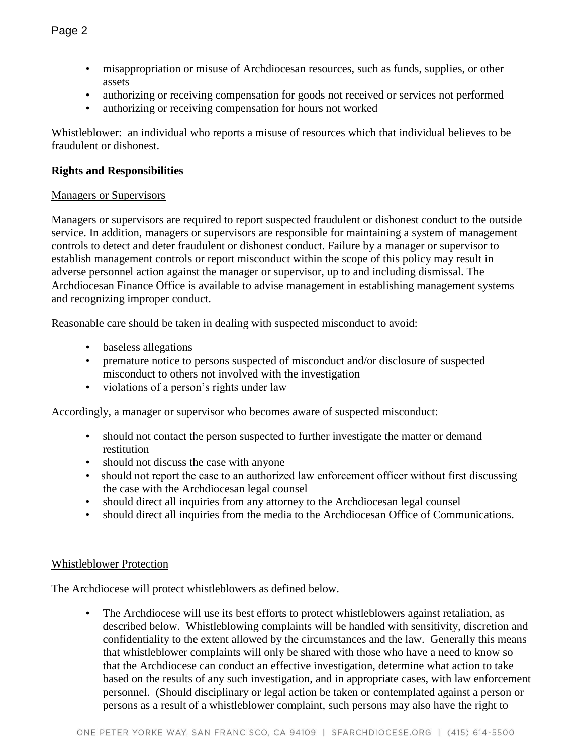- misappropriation or misuse of Archdiocesan resources, such as funds, supplies, or other assets
- authorizing or receiving compensation for goods not received or services not performed
- authorizing or receiving compensation for hours not worked

Whistleblower: an individual who reports a misuse of resources which that individual believes to be fraudulent or dishonest.

# **Rights and Responsibilities**

# Managers or Supervisors

Managers or supervisors are required to report suspected fraudulent or dishonest conduct to the outside service. In addition, managers or supervisors are responsible for maintaining a system of management controls to detect and deter fraudulent or dishonest conduct. Failure by a manager or supervisor to establish management controls or report misconduct within the scope of this policy may result in adverse personnel action against the manager or supervisor, up to and including dismissal. The Archdiocesan Finance Office is available to advise management in establishing management systems and recognizing improper conduct.

Reasonable care should be taken in dealing with suspected misconduct to avoid:

- baseless allegations
- premature notice to persons suspected of misconduct and/or disclosure of suspected misconduct to others not involved with the investigation
- violations of a person's rights under law

Accordingly, a manager or supervisor who becomes aware of suspected misconduct:

- should not contact the person suspected to further investigate the matter or demand restitution
- should not discuss the case with anyone
- should not report the case to an authorized law enforcement officer without first discussing the case with the Archdiocesan legal counsel
- should direct all inquiries from any attorney to the Archdiocesan legal counsel
- should direct all inquiries from the media to the Archdiocesan Office of Communications.

# Whistleblower Protection

The Archdiocese will protect whistleblowers as defined below.

• The Archdiocese will use its best efforts to protect whistleblowers against retaliation, as described below. Whistleblowing complaints will be handled with sensitivity, discretion and confidentiality to the extent allowed by the circumstances and the law. Generally this means that whistleblower complaints will only be shared with those who have a need to know so that the Archdiocese can conduct an effective investigation, determine what action to take based on the results of any such investigation, and in appropriate cases, with law enforcement personnel. (Should disciplinary or legal action be taken or contemplated against a person or persons as a result of a whistleblower complaint, such persons may also have the right to